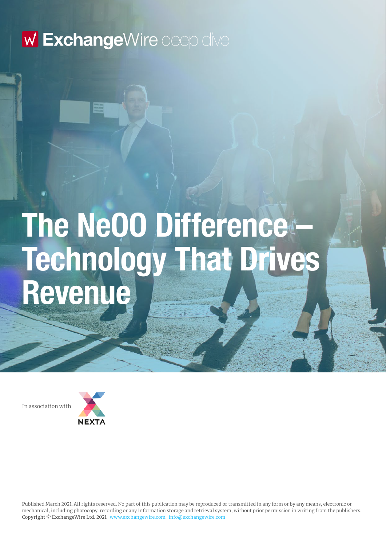# **The NeOO Difference – Technology That Drives Revenue**

In association with

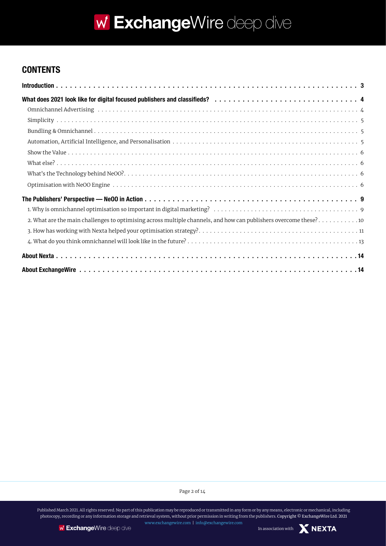### **CONTENTS**

| 2. What are the main challenges to optimising across multiple channels, and how can publishers overcome these? 10 |
|-------------------------------------------------------------------------------------------------------------------|
|                                                                                                                   |
|                                                                                                                   |
|                                                                                                                   |
|                                                                                                                   |

Page 2 of 14

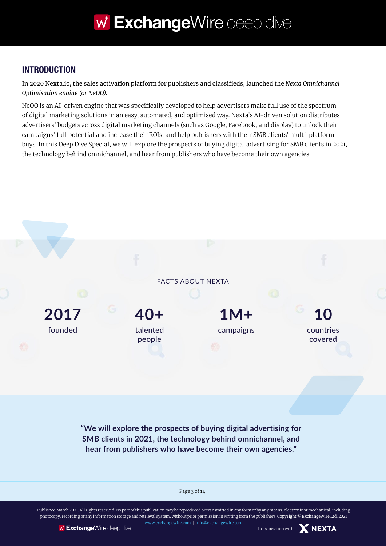### **INTRODUCTION**

In 2020 Nexta.io, the sales activation platform for publishers and classifieds, launched the *Nexta Omnichannel Optimisation engine (or NeOO)*.

NeOO is an AI-driven engine that was specifically developed to help advertisers make full use of the spectrum of digital marketing solutions in an easy, automated, and optimised way. Nexta's AI-driven solution distributes advertisers' budgets across digital marketing channels (such as Google, Facebook, and display) to unlock their campaigns' full potential and increase their ROIs, and help publishers with their SMB clients' multi-platform buys. In this Deep Dive Special, we will explore the prospects of buying digital advertising for SMB clients in 2021, the technology behind omnichannel, and hear from publishers who have become their own agencies.



**"We will explore the prospects of buying digital advertising for SMB clients in 2021, the technology behind omnichannel, and hear from publishers who have become their own agencies."**

Page 3 of 14

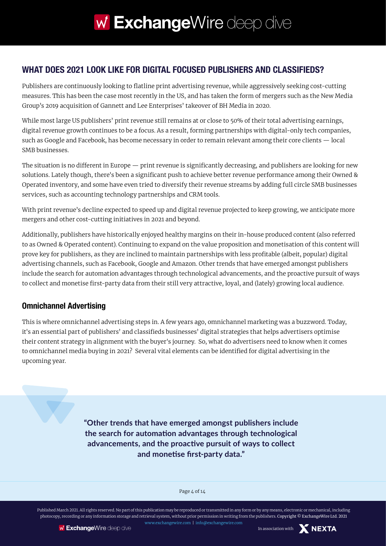### **WHAT DOES 2021 LOOK LIKE FOR DIGITAL FOCUSED PUBLISHERS AND CLASSIFIEDS?**

Publishers are continuously looking to flatline print advertising revenue, while aggressively seeking cost-cutting measures. This has been the case most recently in the US, and has taken the form of mergers such as the New Media Group's 2019 acquisition of Gannett and Lee Enterprises' takeover of BH Media in 2020.

While most large US publishers' print revenue still remains at or close to 50% of their total advertising earnings, digital revenue growth continues to be a focus. As a result, forming partnerships with digital-only tech companies, such as Google and Facebook, has become necessary in order to remain relevant among their core clients — local SMB businesses.

The situation is no different in Europe — print revenue is significantly decreasing, and publishers are looking for new solutions. Lately though, there's been a significant push to achieve better revenue performance among their Owned & Operated inventory, and some have even tried to diversify their revenue streams by adding full circle SMB businesses services, such as accounting technology partnerships and CRM tools.

With print revenue's decline expected to speed up and digital revenue projected to keep growing, we anticipate more mergers and other cost-cutting initiatives in 2021 and beyond.

Additionally, publishers have historically enjoyed healthy margins on their in-house produced content (also referred to as Owned & Operated content). Continuing to expand on the value proposition and monetisation of this content will prove key for publishers, as they are inclined to maintain partnerships with less profitable (albeit, popular) digital advertising channels, such as Facebook, Google and Amazon. Other trends that have emerged amongst publishers include the search for automation advantages through technological advancements, and the proactive pursuit of ways to collect and monetise first-party data from their still very attractive, loyal, and (lately) growing local audience.

#### **Omnichannel Advertising**

This is where omnichannel advertising steps in. A few years ago, omnichannel marketing was a buzzword. Today, it's an essential part of publishers' and classifieds businesses' digital strategies that helps advertisers optimise their content strategy in alignment with the buyer's journey. So, what do advertisers need to know when it comes to omnichannel media buying in 2021? Several vital elements can be identified for digital advertising in the upcoming year.

> **"Other trends that have emerged amongst publishers include the search for automation advantages through technological advancements, and the proactive pursuit of ways to collect and monetise first-party data."**

> > Page 4 of 14

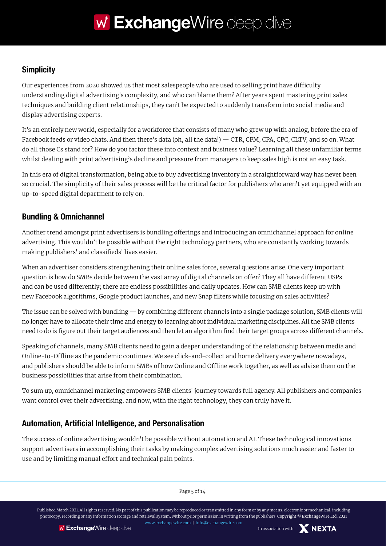### **Simplicity**

Our experiences from 2020 showed us that most salespeople who are used to selling print have difficulty understanding digital advertising's complexity, and who can blame them? After years spent mastering print sales techniques and building client relationships, they can't be expected to suddenly transform into social media and display advertising experts.

It's an entirely new world, especially for a workforce that consists of many who grew up with analog, before the era of Facebook feeds or video chats. And then there's data (oh, all the data!) — CTR, CPM, CPA, CPC, CLTV, and so on. What do all those Cs stand for? How do you factor these into context and business value? Learning all these unfamiliar terms whilst dealing with print advertising's decline and pressure from managers to keep sales high is not an easy task.

In this era of digital transformation, being able to buy advertising inventory in a straightforward way has never been so crucial. The simplicity of their sales process will be the critical factor for publishers who aren't yet equipped with an up-to-speed digital department to rely on.

### **Bundling & Omnichannel**

Another trend amongst print advertisers is bundling offerings and introducing an omnichannel approach for online advertising. This wouldn't be possible without the right technology partners, who are constantly working towards making publishers' and classifieds' lives easier.

When an advertiser considers strengthening their online sales force, several questions arise. One very important question is how do SMBs decide between the vast array of digital channels on offer? They all have different USPs and can be used differently; there are endless possibilities and daily updates. How can SMB clients keep up with new Facebook algorithms, Google product launches, and new Snap filters while focusing on sales activities?

The issue can be solved with bundling — by combining different channels into a single package solution, SMB clients will no longer have to allocate their time and energy to learning about individual marketing disciplines. All the SMB clients need to do is figure out their target audiences and then let an algorithm find their target groups across different channels.

Speaking of channels, many SMB clients need to gain a deeper understanding of the relationship between media and Online-to-Offline as the pandemic continues. We see click-and-collect and home delivery everywhere nowadays, and publishers should be able to inform SMBs of how Online and Offline work together, as well as advise them on the business possibilities that arise from their combination.

To sum up, omnichannel marketing empowers SMB clients' journey towards full agency. All publishers and companies want control over their advertising, and now, with the right technology, they can truly have it.

### **Automation, Artificial Intelligence, and Personalisation**

The success of online advertising wouldn't be possible without automation and AI. These technological innovations support advertisers in accomplishing their tasks by making complex advertising solutions much easier and faster to use and by limiting manual effort and technical pain points.

Page 5 of 14

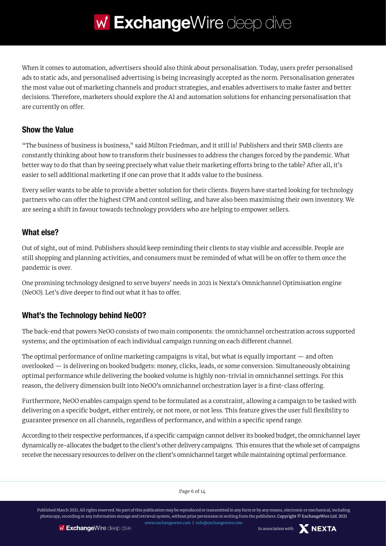When it comes to automation, advertisers should also think about personalisation. Today, users prefer personalised ads to static ads, and personalised advertising is being increasingly accepted as the norm. Personalisation generates the most value out of marketing channels and product strategies, and enables advertisers to make faster and better decisions. Therefore, marketers should explore the AI and automation solutions for enhancing personalisation that are currently on offer.

#### **Show the Value**

"The business of business is business," said Milton Friedman, and it still is! Publishers and their SMB clients are constantly thinking about how to transform their businesses to address the changes forced by the pandemic. What better way to do that than by seeing precisely what value their marketing efforts bring to the table? After all, it's easier to sell additional marketing if one can prove that it adds value to the business.

Every seller wants to be able to provide a better solution for their clients. Buyers have started looking for technology partners who can offer the highest CPM and control selling, and have also been maximising their own inventory. We are seeing a shift in favour towards technology providers who are helping to empower sellers.

### **What else?**

Out of sight, out of mind. Publishers should keep reminding their clients to stay visible and accessible. People are still shopping and planning activities, and consumers must be reminded of what will be on offer to them once the pandemic is over.

One promising technology designed to serve buyers' needs in 2021 is Nexta's Omnichannel Optimisation engine (NeOO). Let's dive deeper to find out what it has to offer.

### **What's the Technology behind NeOO?**

The back-end that powers NeOO consists of two main components: the omnichannel orchestration across supported systems; and the optimisation of each individual campaign running on each different channel.

The optimal performance of online marketing campaigns is vital, but what is equally important — and often overlooked — is delivering on booked budgets: money, clicks, leads, or some conversion. Simultaneously obtaining optimal performance while delivering the booked volume is highly non-trivial in omnichannel settings. For this reason, the delivery dimension built into NeOO's omnichannel orchestration layer is a first-class offering.

Furthermore, NeOO enables campaign spend to be formulated as a constraint, allowing a campaign to be tasked with delivering on a specific budget, either entirely, or not more, or not less. This feature gives the user full flexibility to guarantee presence on all channels, regardless of performance, and within a specific spend range.

According to their respective performances, if a specific campaign cannot deliver its booked budget, the omnichannel layer dynamically re-allocates the budget to the client's other delivery campaigns. This ensures that the whole set of campaigns receive the necessary resources to deliver on the client's omnichannel target while maintaining optimal performance.

Page 6 of 14

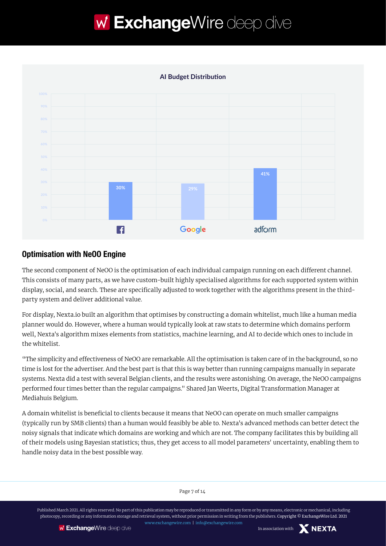



#### **Optimisation with NeOO Engine**

The second component of NeOO is the optimisation of each individual campaign running on each different channel. This consists of many parts, as we have custom-built highly specialised algorithms for each supported system within display, social, and search. These are specifically adjusted to work together with the algorithms present in the thirdparty system and deliver additional value.

For display, Nexta.io built an algorithm that optimises by constructing a domain whitelist, much like a human media planner would do. However, where a human would typically look at raw stats to determine which domains perform well, Nexta's algorithm mixes elements from statistics, machine learning, and AI to decide which ones to include in the whitelist.

"The simplicity and effectiveness of NeOO are remarkable. All the optimisation is taken care of in the background, so no time is lost for the advertiser. And the best part is that this is way better than running campaigns manually in separate systems. Nexta did a test with several Belgian clients, and the results were astonishing. On average, the NeOO campaigns performed four times better than the regular campaigns." Shared Jan Weerts, Digital Transformation Manager at Mediahuis Belgium.

A domain whitelist is beneficial to clients because it means that NeOO can operate on much smaller campaigns (typically run by SMB clients) than a human would feasibly be able to. Nexta's advanced methods can better detect the noisy signals that indicate which domains are working and which are not. The company facilitates this by building all of their models using Bayesian statistics; thus, they get access to all model parameters' uncertainty, enabling them to handle noisy data in the best possible way.

Page 7 of 14

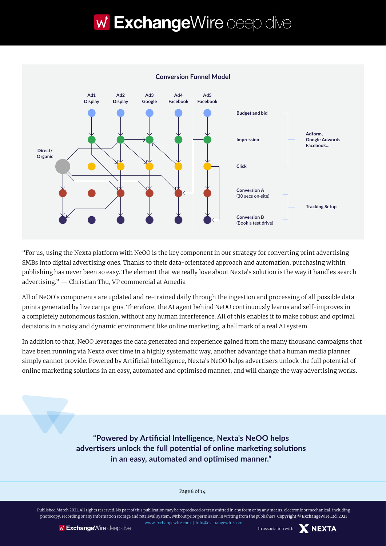

"For us, using the Nexta platform with NeOO is the key component in our strategy for converting print advertising SMBs into digital advertising ones. Thanks to their data-orientated approach and automation, purchasing within publishing has never been so easy. The element that we really love about Nexta's solution is the way it handles search advertising." — Christian Thu, VP commercial at Amedia

All of NeOO's components are updated and re-trained daily through the ingestion and processing of all possible data points generated by live campaigns. Therefore, the AI agent behind NeOO continuously learns and self-improves in a completely autonomous fashion, without any human interference. All of this enables it to make robust and optimal decisions in a noisy and dynamic environment like online marketing, a hallmark of a real AI system.

In addition to that, NeOO leverages the data generated and experience gained from the many thousand campaigns that have been running via Nexta over time in a highly systematic way, another advantage that a human media planner simply cannot provide. Powered by Artificial Intelligence, Nexta's NeOO helps advertisers unlock the full potential of online marketing solutions in an easy, automated and optimised manner, and will change the way advertising works.

> **"Powered by Artificial Intelligence, Nexta's NeOO helps advertisers unlock the full potential of online marketing solutions in an easy, automated and optimised manner."**

> > Page 8 of 14

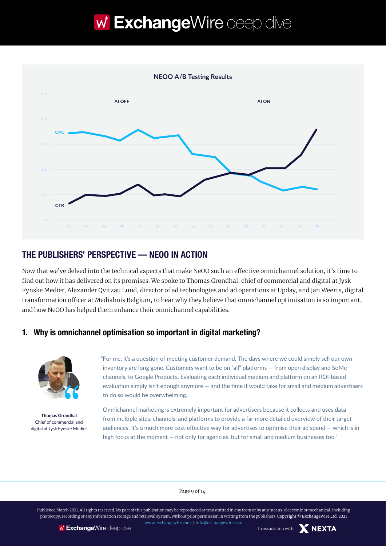

### **THE PUBLISHERS' PERSPECTIVE — NEOO IN ACTION**

Now that we've delved into the technical aspects that make NeOO such an effective omnichannel solution, it's time to find out how it has delivered on its promises. We spoke to Thomas Grondhal, chief of commercial and digital at Jysk Fynske Medier, Alexander Qvitzau Lund, director of ad technologies and ad operations at Upday, and Jan Weerts, digital transformation officer at Mediahuis Belgium, to hear why they believe that omnichannel optimisation is so important, and how NeOO has helped them enhance their omnichannel capabilities.

#### **1. Why is omnichannel optimisation so important in digital marketing?**



**Thomas Grondhal** Chief of commercial and digital at Jysk Fynske Medier

"For me, it's a question of meeting customer demand. The days where we could simply sell our own inventory are long gone. Customers want to be on "all" platforms — from open display and SoMe channels, to Google Products. Evaluating each individual medium and platform on an ROI-based evaluation simply isn't enough anymore — and the time it would take for small and medium advertisers to do so would be overwhelming.

Omnichannel marketing is extremely important for advertisers because it collects and uses data from multiple sites, channels, and platforms to provide a far more detailed overview of their target audiences. It's a much more cost-effective way for advertises to optimise their ad spend — which is in high focus at the moment — not only for agencies, but for small and medium businesses too."

#### Page 9 of 14

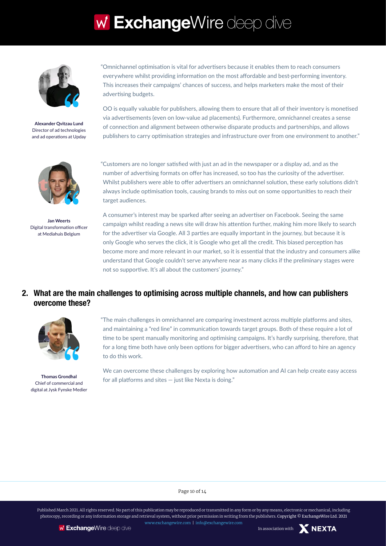

**Alexander Qvitzau Lund** Director of ad technologies and ad operations at Upday



**Jan Weerts** Digital transformation officer at Mediahuis Belgium

"Omnichannel optimisation is vital for advertisers because it enables them to reach consumers everywhere whilst providing information on the most affordable and best-performing inventory. This increases their campaigns' chances of success, and helps marketers make the most of their advertising budgets.

OO is equally valuable for publishers, allowing them to ensure that all of their inventory is monetised via advertisements (even on low-value ad placements). Furthermore, omnichannel creates a sense of connection and alignment between otherwise disparate products and partnerships, and allows publishers to carry optimisation strategies and infrastructure over from one environment to another."

"Customers are no longer satisfied with just an ad in the newspaper or a display ad, and as the number of advertising formats on offer has increased, so too has the curiosity of the advertiser. Whilst publishers were able to offer advertisers an omnichannel solution, these early solutions didn't always include optimisation tools, causing brands to miss out on some opportunities to reach their target audiences.

A consumer's interest may be sparked after seeing an advertiser on Facebook. Seeing the same campaign whilst reading a news site will draw his attention further, making him more likely to search for the advertiser via Google. All 3 parties are equally important in the journey, but because it is only Google who serves the click, it is Google who get all the credit. This biased perception has become more and more relevant in our market, so it is essential that the industry and consumers alike understand that Google couldn't serve anywhere near as many clicks if the preliminary stages were not so supportive. It's all about the customers' journey."

#### **2. What are the main challenges to optimising across multiple channels, and how can publishers overcome these?**



**Thomas Grondhal** Chief of commercial and digital at Jysk Fynske Medier

"The main challenges in omnichannel are comparing investment across multiple platforms and sites, and maintaining a "red line" in communication towards target groups. Both of these require a lot of time to be spent manually monitoring and optimising campaigns. It's hardly surprising, therefore, that for a long time both have only been options for bigger advertisers, who can afford to hire an agency to do this work.

We can overcome these challenges by exploring how automation and AI can help create easy access for all platforms and sites — just like Nexta is doing."

Page 10 of 14



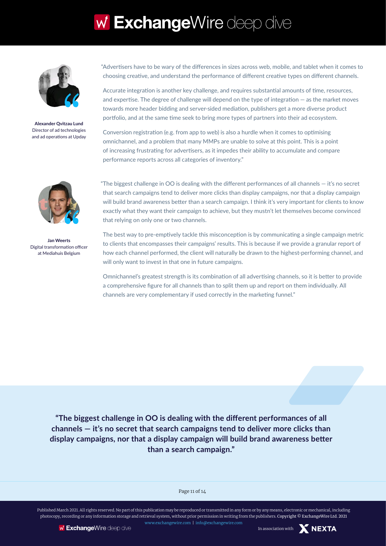

**Alexander Qvitzau Lund** Director of ad technologies and ad operations at Upday



**Jan Weerts** Digital transformation officer at Mediahuis Belgium

"Advertisers have to be wary of the differences in sizes across web, mobile, and tablet when it comes to choosing creative, and understand the performance of different creative types on different channels.

Accurate integration is another key challenge, and requires substantial amounts of time, resources, and expertise. The degree of challenge will depend on the type of integration — as the market moves towards more header bidding and server-sided mediation, publishers get a more diverse product portfolio, and at the same time seek to bring more types of partners into their ad ecosystem.

Conversion registration (e.g. from app to web) is also a hurdle when it comes to optimising omnichannel, and a problem that many MMPs are unable to solve at this point. This is a point of increasing frustrating for advertisers, as it impedes their ability to accumulate and compare performance reports across all categories of inventory."

"The biggest challenge in OO is dealing with the different performances of all channels — it's no secret that search campaigns tend to deliver more clicks than display campaigns, nor that a display campaign will build brand awareness better than a search campaign. I think it's very important for clients to know exactly what they want their campaign to achieve, but they mustn't let themselves become convinced that relying on only one or two channels.

The best way to pre-emptively tackle this misconception is by communicating a single campaign metric to clients that encompasses their campaigns' results. This is because if we provide a granular report of how each channel performed, the client will naturally be drawn to the highest-performing channel, and will only want to invest in that one in future campaigns.

Omnichannel's greatest strength is its combination of all advertising channels, so it is better to provide a comprehensive figure for all channels than to split them up and report on them individually. All channels are very complementary if used correctly in the marketing funnel."

**"The biggest challenge in OO is dealing with the different performances of all channels — it's no secret that search campaigns tend to deliver more clicks than display campaigns, nor that a display campaign will build brand awareness better than a search campaign."**

#### Page 11 of 14

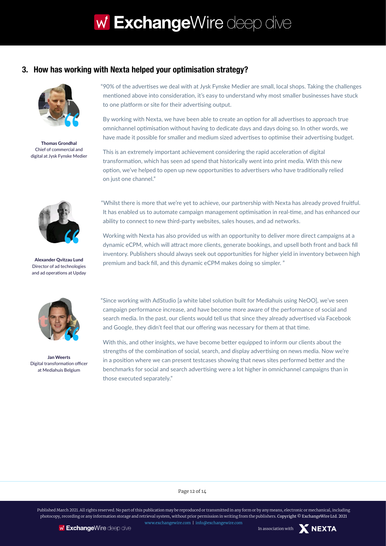#### **3. How has working with Nexta helped your optimisation strategy?**



**Thomas Grondhal** Chief of commercial and digital at Jysk Fynske Medier



By working with Nexta, we have been able to create an option for all advertises to approach true omnichannel optimisation without having to dedicate days and days doing so. In other words, we have made it possible for smaller and medium sized advertises to optimise their advertising budget.

This is an extremely important achievement considering the rapid acceleration of digital transformation, which has seen ad spend that historically went into print media. With this new option, we've helped to open up new opportunities to advertisers who have traditionally relied on just one channel."



Director of ad technologies and ad operations at Upday



**Jan Weerts** Digital transformation officer at Mediahuis Belgium

"Whilst there is more that we're yet to achieve, our partnership with Nexta has already proved fruitful. It has enabled us to automate campaign management optimisation in real-time, and has enhanced our ability to connect to new third-party websites, sales houses, and ad networks.

Working with Nexta has also provided us with an opportunity to deliver more direct campaigns at a dynamic eCPM, which will attract more clients, generate bookings, and upsell both front and back fill inventory. Publishers should always seek out opportunities for higher yield in inventory between high premium and back fill, and this dynamic eCPM makes doing so simpler. " **Alexander Qvitzau Lund**

> "Since working with AdStudio [a white label solution built for Mediahuis using NeOO], we've seen campaign performance increase, and have become more aware of the performance of social and search media. In the past, our clients would tell us that since they already advertised via Facebook and Google, they didn't feel that our offering was necessary for them at that time.

> With this, and other insights, we have become better equipped to inform our clients about the strengths of the combination of social, search, and display advertising on news media. Now we're in a position where we can present testcases showing that news sites performed better and the benchmarks for social and search advertising were a lot higher in omnichannel campaigns than in those executed separately."

> > Page 12 of 14

Published March 2021. All rights reserved. No part of this publication may be reproduced or transmitted in any form or by any means, electronic or mechanical, including photocopy, recording or any information storage and retrieval system, without prior permission in writing from the publishers. Copyright © ExchangeWire Ltd. 2021 [www.exchangewire.com](http://www.exchangewire.com) | inf[o@exchangewire.com](mailto:research@exchangewire.com)

**NEXTA**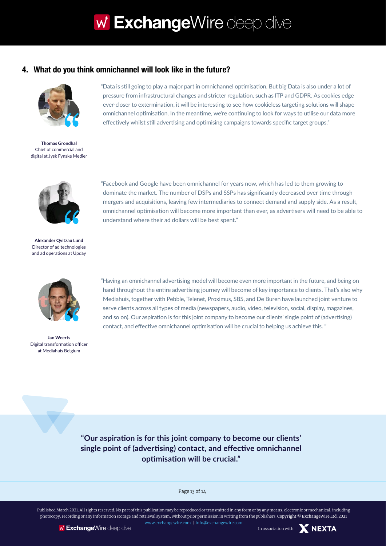#### **4. What do you think omnichannel will look like in the future?**



**Thomas Grondhal** Chief of commercial and digital at Jysk Fynske Medier



**Alexander Qvitzau Lund** Director of ad technologies and ad operations at Upday



**Jan Weerts** Digital transformation officer at Mediahuis Belgium

"Data is still going to play a major part in omnichannel optimisation. But big Data is also under a lot of pressure from infrastructural changes and stricter regulation, such as ITP and GDPR. As cookies edge ever-closer to extermination, it will be interesting to see how cookieless targeting solutions will shape omnichannel optimisation. In the meantime, we're continuing to look for ways to utilise our data more effectively whilst still advertising and optimising campaigns towards specific target groups."

"Facebook and Google have been omnichannel for years now, which has led to them growing to dominate the market. The number of DSPs and SSPs has significantly decreased over time through mergers and acquisitions, leaving few intermediaries to connect demand and supply side. As a result, omnichannel optimisation will become more important than ever, as advertisers will need to be able to understand where their ad dollars will be best spent."

"Having an omnichannel advertising model will become even more important in the future, and being on hand throughout the entire advertising journey will become of key importance to clients. That's also why Mediahuis, together with Pebble, Telenet, Proximus, SBS, and De Buren have launched joint venture to serve clients across all types of media (newspapers, audio, video, television, social, display, magazines, and so on). Our aspiration is for this joint company to become our clients' single point of (advertising) contact, and effective omnichannel optimisation will be crucial to helping us achieve this. "

**"Our aspiration is for this joint company to become our clients' single point of (advertising) contact, and effective omnichannel optimisation will be crucial."**

#### Page 13 of 14